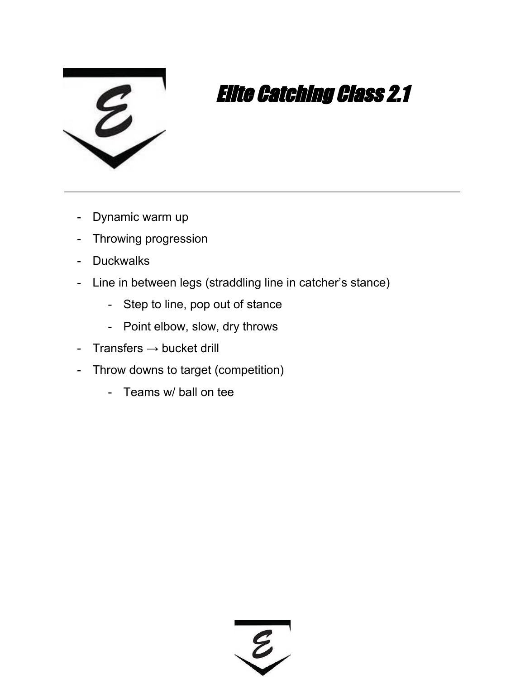

- Dynamic warm up
- Throwing progression
- Duckwalks
- Line in between legs (straddling line in catcher's stance)
	- Step to line, pop out of stance
	- Point elbow, slow, dry throws
- Transfers  $\rightarrow$  bucket drill
- Throw downs to target (competition)
	- Teams w/ ball on tee

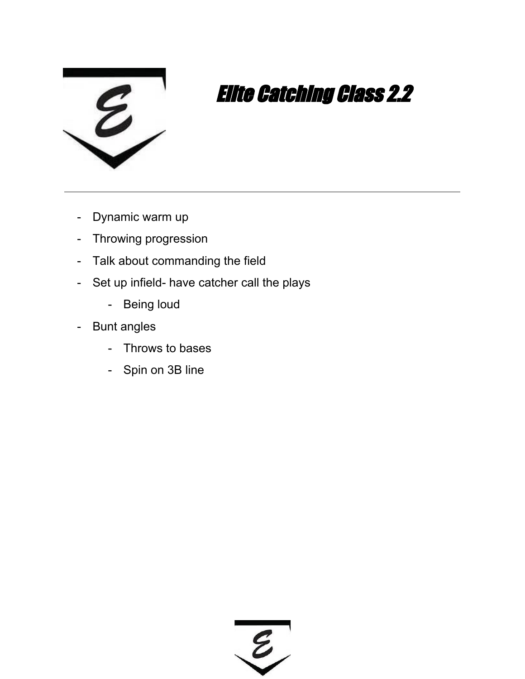

- Dynamic warm up
- Throwing progression
- Talk about commanding the field
- Set up infield- have catcher call the plays
	- Being loud
- Bunt angles
	- Throws to bases
	- Spin on 3B line

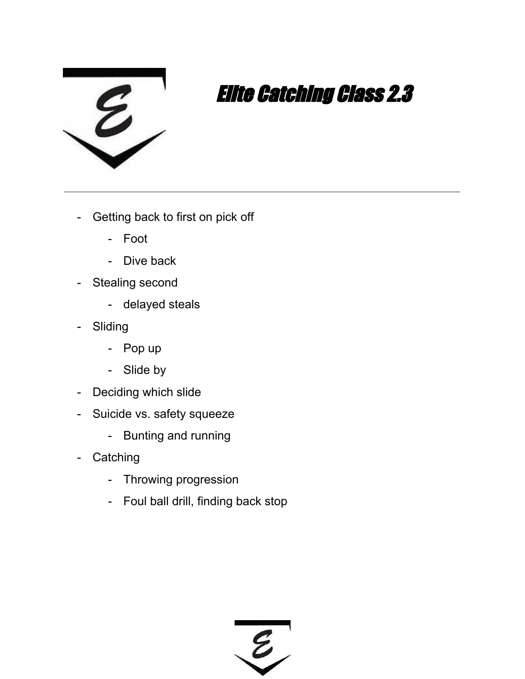

- Getting back to first on pick off
	- Foot
	- Dive back
- Stealing second
	- delayed steals
- Sliding
	- Pop up
	- Slide by
- Deciding which slide
- Suicide vs. safety squeeze
	- Bunting and running
- Catching
	- Throwing progression
	- Foul ball drill, finding back stop